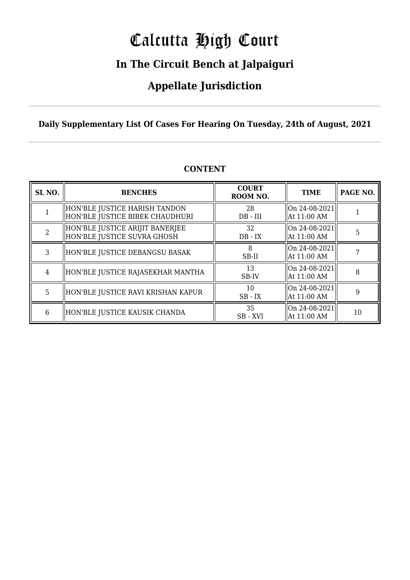# Calcutta High Court

### **In The Circuit Bench at Jalpaiguri**

### **Appellate Jurisdiction**

**Daily Supplementary List Of Cases For Hearing On Tuesday, 24th of August, 2021**

| SL <sub>NO.</sub> | <b>BENCHES</b>                                                   | <b>COURT</b><br>ROOM NO. | <b>TIME</b>                   | PAGE NO. |
|-------------------|------------------------------------------------------------------|--------------------------|-------------------------------|----------|
|                   | HON'BLE JUSTICE HARISH TANDON<br>HON'BLE JUSTICE BIBEK CHAUDHURI | 28<br>$DB - III$         | On 24-08-2021<br>At 11:00 AM  |          |
| $\mathcal{D}$     | HON'BLE JUSTICE ARIJIT BANERJEE<br>HON'BLE JUSTICE SUVRA GHOSH   | 32<br>$DB - IX$          | On 24-08-2021 <br>At 11:00 AM | 5        |
| 3                 | HON'BLE JUSTICE DEBANGSU BASAK                                   | SB-II                    | On 24-08-2021<br>At 11:00 AM  |          |
| 4                 | HON'BLE JUSTICE RAJASEKHAR MANTHA                                | 13<br>SB-IV              | On 24-08-2021 <br>At 11:00 AM | 8        |
| 5                 | HON'BLE JUSTICE RAVI KRISHAN KAPUR                               | 10<br>$SB$ - $IX$        | On 24-08-2021<br>At 11:00 AM  | 9        |
| 6                 | HON'BLE JUSTICE KAUSIK CHANDA                                    | 35<br>SB - XVI           | On 24-08-2021<br>At 11:00 AM  | 10       |

#### **CONTENT**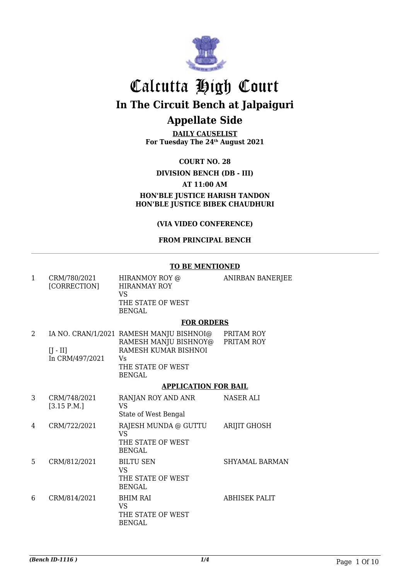

**DAILY CAUSELIST For Tuesday The 24th August 2021**

**COURT NO. 28**

#### **DIVISION BENCH (DB - III)**

#### **AT 11:00 AM**

**HON'BLE JUSTICE HARISH TANDON HON'BLE JUSTICE BIBEK CHAUDHURI**

#### **(VIA VIDEO CONFERENCE)**

#### **FROM PRINCIPAL BENCH**

|   |                               | <b>TO BE MENTIONED</b>                                                                                                                 |                          |
|---|-------------------------------|----------------------------------------------------------------------------------------------------------------------------------------|--------------------------|
| 1 | CRM/780/2021<br>[CORRECTION]  | HIRANMOY ROY @<br><b>HIRANMAY ROY</b><br>VS<br>THE STATE OF WEST<br><b>BENGAL</b>                                                      | ANIRBAN BANERJEE         |
|   |                               | <b>FOR ORDERS</b>                                                                                                                      |                          |
| 2 | $[J - II]$<br>In CRM/497/2021 | IA NO. CRAN/1/2021 RAMESH MANJU BISHNOI@<br>RAMESH MANJU BISHNOY@<br>RAMESH KUMAR BISHNOI<br>Vs.<br>THE STATE OF WEST<br><b>BENGAL</b> | PRITAM ROY<br>PRITAM ROY |
|   |                               | <b>APPLICATION FOR BAIL</b>                                                                                                            |                          |
| 3 | CRM/748/2021<br>[3.15 P.M.]   | RANJAN ROY AND ANR<br>VS<br>State of West Bengal                                                                                       | NASER ALI                |
| 4 | CRM/722/2021                  | RAJESH MUNDA @ GUTTU<br><b>VS</b><br>THE STATE OF WEST<br><b>BENGAL</b>                                                                | <b>ARIJIT GHOSH</b>      |

5 CRM/812/2021 BILTU SEN VS THE STATE OF WEST BENGAL SHYAMAL BARMAN 6 CRM/814/2021 BHIM RAI VS THE STATE OF WEST BENGAL ABHISEK PALIT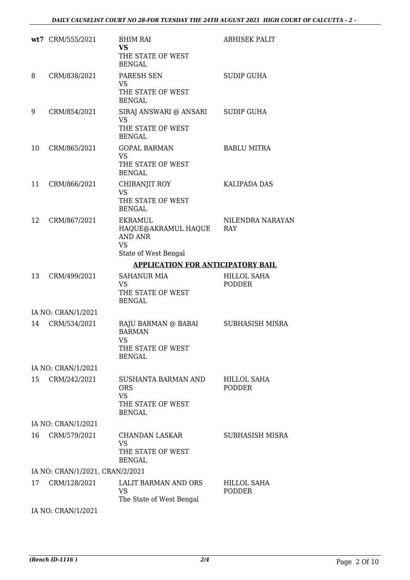|    | wt7 CRM/555/2021                | <b>BHIM RAI</b><br><b>VS</b><br>THE STATE OF WEST<br><b>BENGAL</b>                      | <b>ABHISEK PALIT</b>         |
|----|---------------------------------|-----------------------------------------------------------------------------------------|------------------------------|
| 8  | CRM/838/2021                    | PARESH SEN<br><b>VS</b><br>THE STATE OF WEST<br><b>BENGAL</b>                           | <b>SUDIP GUHA</b>            |
| 9  | CRM/854/2021                    | SIRAJ ANSWARI @ ANSARI<br><b>VS</b><br>THE STATE OF WEST<br><b>BENGAL</b>               | <b>SUDIP GUHA</b>            |
| 10 | CRM/865/2021                    | <b>GOPAL BARMAN</b><br><b>VS</b><br>THE STATE OF WEST<br><b>BENGAL</b>                  | <b>BABLU MITRA</b>           |
| 11 | CRM/866/2021                    | CHIRANJIT ROY<br><b>VS</b><br>THE STATE OF WEST<br><b>BENGAL</b>                        | <b>KALIPADA DAS</b>          |
| 12 | CRM/867/2021                    | EKRAMUL<br>HAQUE@AKRAMUL HAQUE<br><b>AND ANR</b><br><b>VS</b><br>State of West Bengal   | NILENDRA NARAYAN<br>RAY      |
|    |                                 | <b>APPLICATION FOR ANTICIPATORY BAIL</b>                                                |                              |
| 13 | CRM/499/2021                    | <b>SAHANUR MIA</b><br><b>VS</b><br>THE STATE OF WEST<br><b>BENGAL</b>                   | HILLOL SAHA<br><b>PODDER</b> |
|    | IA NO: CRAN/1/2021              |                                                                                         |                              |
| 14 | CRM/534/2021                    | RAJU BARMAN @ BABAI<br><b>BARMAN</b><br><b>VS</b><br>THE STATE OF WEST<br><b>BENGAL</b> | SUBHASISH MISRA              |
|    | IA NO: CRAN/1/2021              |                                                                                         |                              |
| 15 | CRM/242/2021                    | SUSHANTA BARMAN AND<br><b>ORS</b><br><b>VS</b><br>THE STATE OF WEST<br><b>BENGAL</b>    | HILLOL SAHA<br><b>PODDER</b> |
|    | IA NO: CRAN/1/2021              |                                                                                         |                              |
| 16 | CRM/579/2021                    | <b>CHANDAN LASKAR</b><br><b>VS</b><br>THE STATE OF WEST<br><b>BENGAL</b>                | SUBHASISH MISRA              |
|    | IA NO: CRAN/1/2021, CRAN/2/2021 |                                                                                         |                              |
| 17 | CRM/128/2021                    | LALIT BARMAN AND ORS<br><b>VS</b><br>The State of West Bengal                           | HILLOL SAHA<br>PODDER        |
|    | $I$ AIO CDANIII 19091           |                                                                                         |                              |

IA NO: CRAN/1/2021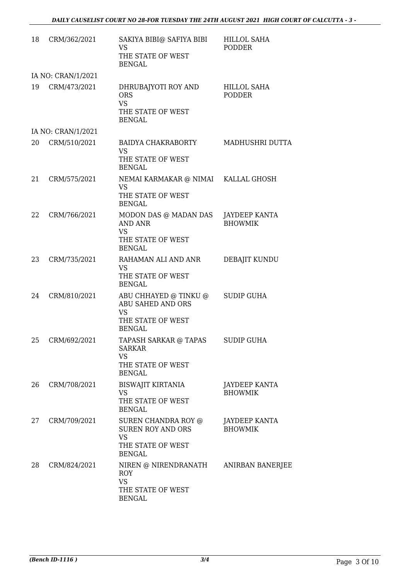| 18     | CRM/362/2021       | SAKIYA BIBI@ SAFIYA BIBI<br><b>VS</b><br>THE STATE OF WEST<br><b>BENGAL</b>                              | <b>HILLOL SAHA</b><br><b>PODDER</b> |
|--------|--------------------|----------------------------------------------------------------------------------------------------------|-------------------------------------|
|        | IA NO: CRAN/1/2021 |                                                                                                          |                                     |
| 19     | CRM/473/2021       | DHRUBAJYOTI ROY AND<br><b>ORS</b><br><b>VS</b><br>THE STATE OF WEST<br><b>BENGAL</b>                     | HILLOL SAHA<br><b>PODDER</b>        |
|        | IA NO: CRAN/1/2021 |                                                                                                          |                                     |
| 20     | CRM/510/2021       | BAIDYA CHAKRABORTY<br><b>VS</b><br>THE STATE OF WEST<br><b>BENGAL</b>                                    | MADHUSHRI DUTTA                     |
| 21     | CRM/575/2021       | NEMAI KARMAKAR @ NIMAI KALLAL GHOSH<br><b>VS</b><br>THE STATE OF WEST<br><b>BENGAL</b>                   |                                     |
| 22     | CRM/766/2021       | MODON DAS @ MADAN DAS JAYDEEP KANTA<br><b>AND ANR</b><br><b>VS</b><br>THE STATE OF WEST<br><b>BENGAL</b> | <b>BHOWMIK</b>                      |
| 23     | CRM/735/2021       | RAHAMAN ALI AND ANR<br><b>VS</b><br>THE STATE OF WEST<br><b>BENGAL</b>                                   | DEBAJIT KUNDU                       |
| 24     | CRM/810/2021       | ABU CHHAYED @ TINKU @<br>ABU SAHED AND ORS<br><b>VS</b><br>THE STATE OF WEST<br><b>BENGAL</b>            | <b>SUDIP GUHA</b>                   |
| $25 -$ | CRM/692/2021       | TAPASH SARKAR @ TAPAS<br><b>SARKAR</b><br><b>VS</b><br>THE STATE OF WEST<br><b>BENGAL</b>                | <b>SUDIP GUHA</b>                   |
| 26     | CRM/708/2021       | BISWAJIT KIRTANIA<br><b>VS</b><br>THE STATE OF WEST<br><b>BENGAL</b>                                     | JAYDEEP KANTA<br><b>BHOWMIK</b>     |
| 27     | CRM/709/2021       | SUREN CHANDRA ROY @<br><b>SUREN ROY AND ORS</b><br><b>VS</b><br>THE STATE OF WEST<br><b>BENGAL</b>       | JAYDEEP KANTA<br><b>BHOWMIK</b>     |
| 28     | CRM/824/2021       | NIREN @ NIRENDRANATH<br><b>ROY</b><br><b>VS</b><br>THE STATE OF WEST<br><b>BENGAL</b>                    | ANIRBAN BANERJEE                    |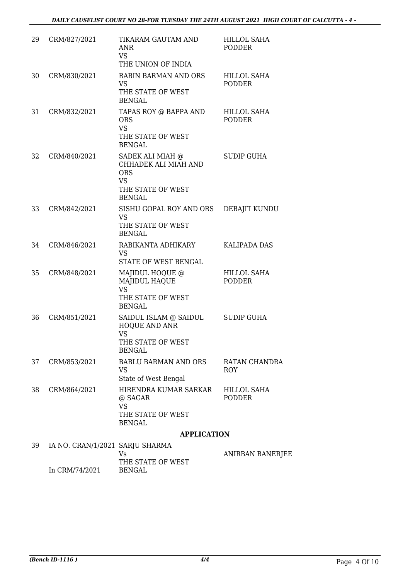| 29 | CRM/827/2021                    | TIKARAM GAUTAM AND<br><b>ANR</b><br><b>VS</b>                                                             | <b>HILLOL SAHA</b><br><b>PODDER</b> |
|----|---------------------------------|-----------------------------------------------------------------------------------------------------------|-------------------------------------|
|    |                                 | THE UNION OF INDIA                                                                                        |                                     |
| 30 | CRM/830/2021                    | <b>RABIN BARMAN AND ORS</b><br><b>VS</b><br>THE STATE OF WEST<br><b>BENGAL</b>                            | <b>HILLOL SAHA</b><br><b>PODDER</b> |
| 31 | CRM/832/2021                    | TAPAS ROY @ BAPPA AND<br><b>ORS</b><br><b>VS</b><br>THE STATE OF WEST<br><b>BENGAL</b>                    | HILLOL SAHA<br><b>PODDER</b>        |
| 32 | CRM/840/2021                    | SADEK ALI MIAH @<br>CHHADEK ALI MIAH AND<br><b>ORS</b><br><b>VS</b><br>THE STATE OF WEST<br><b>BENGAL</b> | <b>SUDIP GUHA</b>                   |
| 33 | CRM/842/2021                    | SISHU GOPAL ROY AND ORS<br><b>VS</b><br>THE STATE OF WEST<br><b>BENGAL</b>                                | DEBAJIT KUNDU                       |
| 34 | CRM/846/2021                    | RABIKANTA ADHIKARY<br><b>VS</b><br>STATE OF WEST BENGAL                                                   | <b>KALIPADA DAS</b>                 |
| 35 | CRM/848/2021                    | MAJIDUL HOQUE @<br><b>MAJIDUL HAQUE</b><br><b>VS</b><br>THE STATE OF WEST<br><b>BENGAL</b>                | <b>HILLOL SAHA</b><br><b>PODDER</b> |
| 36 | CRM/851/2021                    | SAIDUL ISLAM @ SAIDUL<br>HOQUE AND ANR<br><b>VS</b><br>THE STATE OF WEST<br><b>BENGAL</b>                 | <b>SUDIP GUHA</b>                   |
| 37 | CRM/853/2021                    | <b>BABLU BARMAN AND ORS</b><br><b>VS</b><br>State of West Bengal                                          | <b>RATAN CHANDRA</b><br><b>ROY</b>  |
| 38 | CRM/864/2021                    | HIRENDRA KUMAR SARKAR<br>@ SAGAR<br><b>VS</b><br>THE STATE OF WEST                                        | <b>HILLOL SAHA</b><br><b>PODDER</b> |
|    |                                 | <b>BENGAL</b>                                                                                             |                                     |
|    |                                 | <b>APPLICATION</b>                                                                                        |                                     |
| 39 | IA NO. CRAN/1/2021 SARJU SHARMA |                                                                                                           |                                     |
|    |                                 | Vs<br>THE CTATE OF MECT                                                                                   | <b>ANIRBAN BANER</b>                |

| 39. | IA NO. CRAN/1/2021 SARJU SHARMA | Vs                          | ANIRBAN BANERJEE |
|-----|---------------------------------|-----------------------------|------------------|
|     | In CRM/74/2021                  | THE STATE OF WEST<br>BENGAL |                  |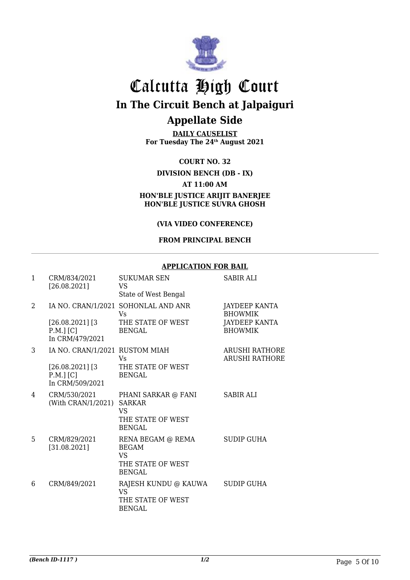

**DAILY CAUSELIST For Tuesday The 24th August 2021**

**COURT NO. 32**

#### **DIVISION BENCH (DB - IX)**

#### **AT 11:00 AM**

**HON'BLE JUSTICE ARIJIT BANERJEE HON'BLE JUSTICE SUVRA GHOSH**

#### **(VIA VIDEO CONFERENCE)**

#### **FROM PRINCIPAL BENCH**

#### **APPLICATION FOR BAIL**

| $\mathbf{1}$ | CRM/834/2021<br>[26.08.2021]                                                          | <b>SUKUMAR SEN</b><br>VS<br>State of West Bengal                                     | <b>SABIR ALI</b>                                                   |
|--------------|---------------------------------------------------------------------------------------|--------------------------------------------------------------------------------------|--------------------------------------------------------------------|
| 2            | $[26.08.2021]$ [3<br>$P.M.]$ [C]<br>In CRM/479/2021                                   | IA NO. CRAN/1/2021 SOHONLAL AND ANR<br>Vs<br>THE STATE OF WEST<br><b>BENGAL</b>      | JAYDEEP KANTA<br><b>BHOWMIK</b><br>JAYDEEP KANTA<br><b>BHOWMIK</b> |
| 3            | IA NO. CRAN/1/2021 RUSTOM MIAH<br>$[26.08.2021]$ [3<br>$P.M.]$ [C]<br>In CRM/509/2021 | Vs<br>THE STATE OF WEST<br><b>BENGAL</b>                                             | <b>ARUSHI RATHORE</b><br><b>ARUSHI RATHORE</b>                     |
| 4            | CRM/530/2021<br>(With CRAN/1/2021) SARKAR                                             | PHANI SARKAR @ FANI<br><b>VS</b><br>THE STATE OF WEST<br><b>BENGAL</b>               | <b>SABIR ALI</b>                                                   |
| 5            | CRM/829/2021<br>[31.08.2021]                                                          | RENA BEGAM @ REMA<br><b>BEGAM</b><br><b>VS</b><br>THE STATE OF WEST<br><b>BENGAL</b> | <b>SUDIP GUHA</b>                                                  |
| 6            | CRM/849/2021                                                                          | RAJESH KUNDU @ KAUWA<br>VS.<br>THE STATE OF WEST<br><b>BENGAL</b>                    | <b>SUDIP GUHA</b>                                                  |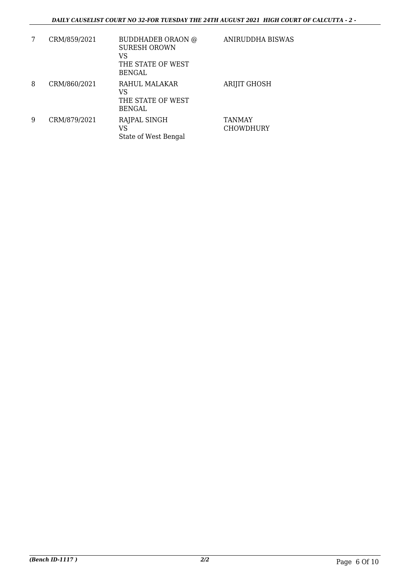| 7 | CRM/859/2021 | <b>BUDDHADEB ORAON @</b><br><b>SURESH OROWN</b><br>VS<br>THE STATE OF WEST<br>BENGAL | ANIRUDDHA BISWAS                  |
|---|--------------|--------------------------------------------------------------------------------------|-----------------------------------|
| 8 | CRM/860/2021 | RAHUL MALAKAR<br>VS<br>THE STATE OF WEST<br>BENGAL                                   | <b>ARIJIT GHOSH</b>               |
| 9 | CRM/879/2021 | RAJPAL SINGH<br>VS<br>State of West Bengal                                           | <b>TANMAY</b><br><b>CHOWDHURY</b> |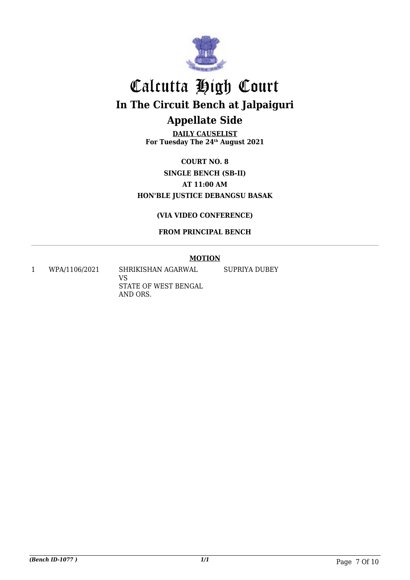

**DAILY CAUSELIST For Tuesday The 24th August 2021**

**COURT NO. 8 SINGLE BENCH (SB-II) AT 11:00 AM HON'BLE JUSTICE DEBANGSU BASAK**

#### **(VIA VIDEO CONFERENCE)**

#### **FROM PRINCIPAL BENCH**

#### **MOTION**

SUPRIYA DUBEY

1 WPA/1106/2021 SHRIKISHAN AGARWAL

VS STATE OF WEST BENGAL AND ORS.

*(Bench ID-1077 ) 1/1* Page 7 Of 10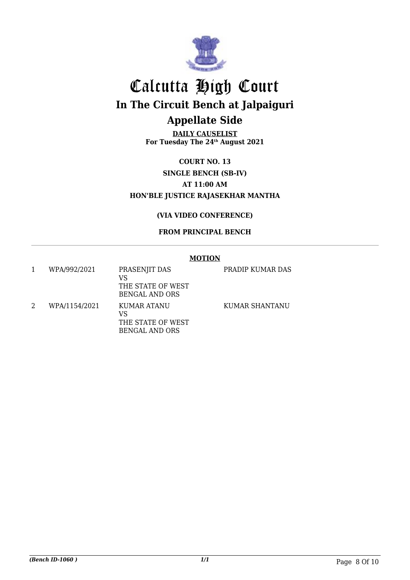

**DAILY CAUSELIST For Tuesday The 24th August 2021**

**COURT NO. 13 SINGLE BENCH (SB-IV) AT 11:00 AM HON'BLE JUSTICE RAJASEKHAR MANTHA**

#### **(VIA VIDEO CONFERENCE)**

#### **FROM PRINCIPAL BENCH**

#### **MOTION**

|   | WPA/992/2021  | PRASENJIT DAS<br>VS<br>THE STATE OF WEST<br>BENGAL AND ORS | PRADIP KUMAR DAS |
|---|---------------|------------------------------------------------------------|------------------|
| 2 | WPA/1154/2021 | KUMAR ATANU<br>VS<br>THE STATE OF WEST<br>BENGAL AND ORS   | KUMAR SHANTANU   |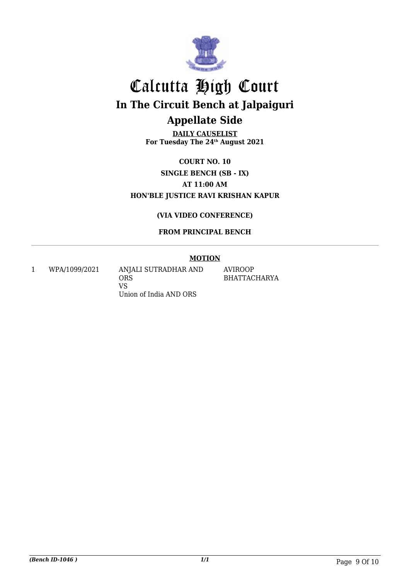

**DAILY CAUSELIST For Tuesday The 24th August 2021**

**COURT NO. 10 SINGLE BENCH (SB - IX) AT 11:00 AM HON'BLE JUSTICE RAVI KRISHAN KAPUR**

#### **(VIA VIDEO CONFERENCE)**

#### **FROM PRINCIPAL BENCH**

#### **MOTION**

1 WPA/1099/2021 ANJALI SUTRADHAR AND **ORS** VS Union of India AND ORS

AVIROOP BHATTACHARYA

*(Bench ID-1046 ) 1/1* Page 9 Of 10